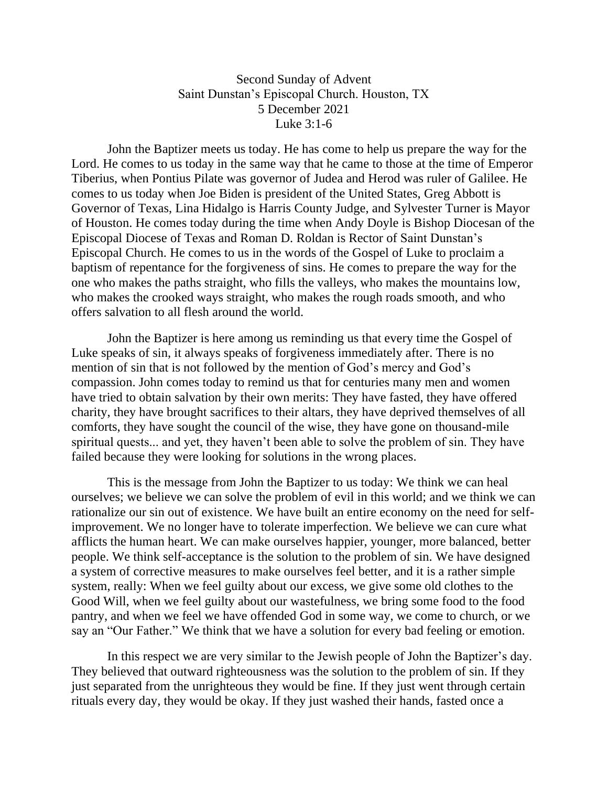## Second Sunday of Advent Saint Dunstan's Episcopal Church. Houston, TX 5 December 2021 Luke 3:1-6

John the Baptizer meets us today. He has come to help us prepare the way for the Lord. He comes to us today in the same way that he came to those at the time of Emperor Tiberius, when Pontius Pilate was governor of Judea and Herod was ruler of Galilee. He comes to us today when Joe Biden is president of the United States, Greg Abbott is Governor of Texas, Lina Hidalgo is Harris County Judge, and Sylvester Turner is Mayor of Houston. He comes today during the time when Andy Doyle is Bishop Diocesan of the Episcopal Diocese of Texas and Roman D. Roldan is Rector of Saint Dunstan's Episcopal Church. He comes to us in the words of the Gospel of Luke to proclaim a baptism of repentance for the forgiveness of sins. He comes to prepare the way for the one who makes the paths straight, who fills the valleys, who makes the mountains low, who makes the crooked ways straight, who makes the rough roads smooth, and who offers salvation to all flesh around the world.

John the Baptizer is here among us reminding us that every time the Gospel of Luke speaks of sin, it always speaks of forgiveness immediately after. There is no mention of sin that is not followed by the mention of God's mercy and God's compassion. John comes today to remind us that for centuries many men and women have tried to obtain salvation by their own merits: They have fasted, they have offered charity, they have brought sacrifices to their altars, they have deprived themselves of all comforts, they have sought the council of the wise, they have gone on thousand-mile spiritual quests... and yet, they haven't been able to solve the problem of sin. They have failed because they were looking for solutions in the wrong places.

This is the message from John the Baptizer to us today: We think we can heal ourselves; we believe we can solve the problem of evil in this world; and we think we can rationalize our sin out of existence. We have built an entire economy on the need for selfimprovement. We no longer have to tolerate imperfection. We believe we can cure what afflicts the human heart. We can make ourselves happier, younger, more balanced, better people. We think self-acceptance is the solution to the problem of sin. We have designed a system of corrective measures to make ourselves feel better, and it is a rather simple system, really: When we feel guilty about our excess, we give some old clothes to the Good Will, when we feel guilty about our wastefulness, we bring some food to the food pantry, and when we feel we have offended God in some way, we come to church, or we say an "Our Father." We think that we have a solution for every bad feeling or emotion.

In this respect we are very similar to the Jewish people of John the Baptizer's day. They believed that outward righteousness was the solution to the problem of sin. If they just separated from the unrighteous they would be fine. If they just went through certain rituals every day, they would be okay. If they just washed their hands, fasted once a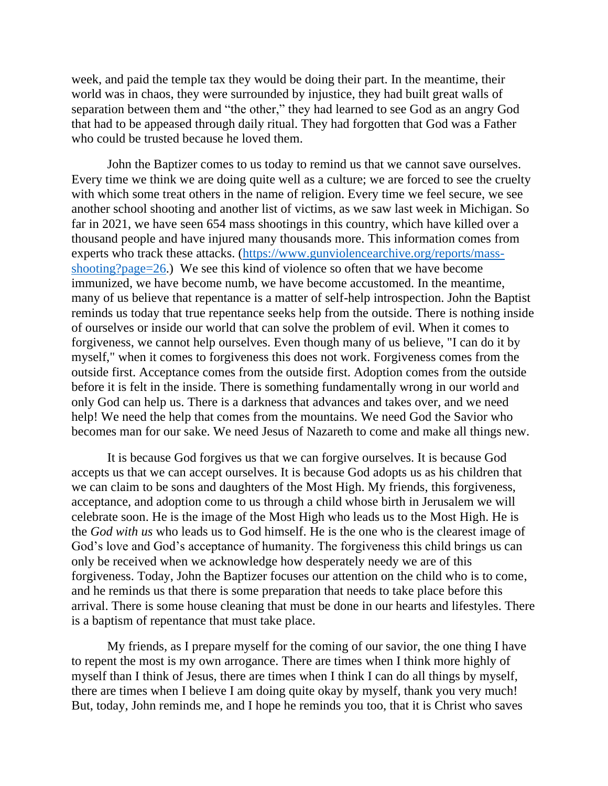week, and paid the temple tax they would be doing their part. In the meantime, their world was in chaos, they were surrounded by injustice, they had built great walls of separation between them and "the other," they had learned to see God as an angry God that had to be appeased through daily ritual. They had forgotten that God was a Father who could be trusted because he loved them.

John the Baptizer comes to us today to remind us that we cannot save ourselves. Every time we think we are doing quite well as a culture; we are forced to see the cruelty with which some treat others in the name of religion. Every time we feel secure, we see another school shooting and another list of victims, as we saw last week in Michigan. So far in 2021, we have seen 654 mass shootings in this country, which have killed over a thousand people and have injured many thousands more. This information comes from experts who track these attacks. [\(https://www.gunviolencearchive.org/reports/mass](https://www.gunviolencearchive.org/reports/mass-shooting?page=26)[shooting?page=26.](https://www.gunviolencearchive.org/reports/mass-shooting?page=26)) We see this kind of violence so often that we have become immunized, we have become numb, we have become accustomed. In the meantime, many of us believe that repentance is a matter of self-help introspection. John the Baptist reminds us today that true repentance seeks help from the outside. There is nothing inside of ourselves or inside our world that can solve the problem of evil. When it comes to forgiveness, we cannot help ourselves. Even though many of us believe, "I can do it by myself," when it comes to forgiveness this does not work. Forgiveness comes from the outside first. Acceptance comes from the outside first. Adoption comes from the outside before it is felt in the inside. There is something fundamentally wrong in our world and only God can help us. There is a darkness that advances and takes over, and we need help! We need the help that comes from the mountains. We need God the Savior who becomes man for our sake. We need Jesus of Nazareth to come and make all things new.

It is because God forgives us that we can forgive ourselves. It is because God accepts us that we can accept ourselves. It is because God adopts us as his children that we can claim to be sons and daughters of the Most High. My friends, this forgiveness, acceptance, and adoption come to us through a child whose birth in Jerusalem we will celebrate soon. He is the image of the Most High who leads us to the Most High. He is the *God with us* who leads us to God himself. He is the one who is the clearest image of God's love and God's acceptance of humanity. The forgiveness this child brings us can only be received when we acknowledge how desperately needy we are of this forgiveness. Today, John the Baptizer focuses our attention on the child who is to come, and he reminds us that there is some preparation that needs to take place before this arrival. There is some house cleaning that must be done in our hearts and lifestyles. There is a baptism of repentance that must take place.

My friends, as I prepare myself for the coming of our savior, the one thing I have to repent the most is my own arrogance. There are times when I think more highly of myself than I think of Jesus, there are times when I think I can do all things by myself, there are times when I believe I am doing quite okay by myself, thank you very much! But, today, John reminds me, and I hope he reminds you too, that it is Christ who saves